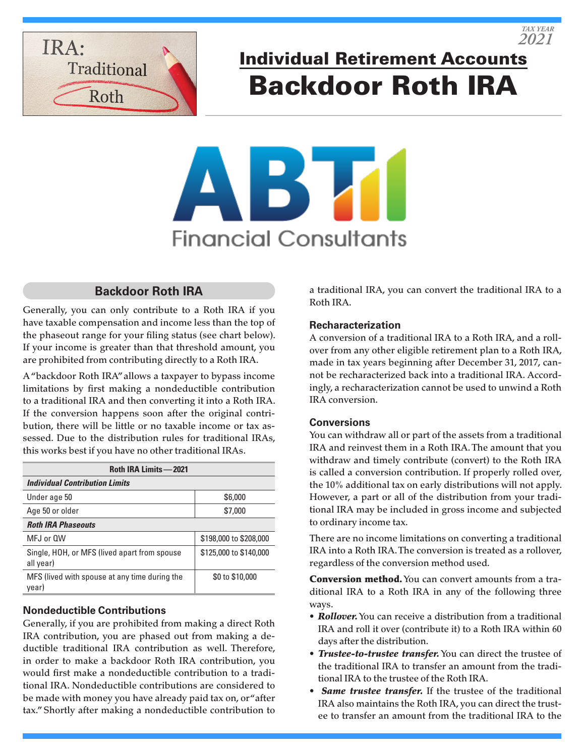

Individual Retirement Accounts Backdoor Roth IRA

# **Financial Consultants**

# **Backdoor Roth IRA**

Generally, you can only contribute to a Roth IRA if you have taxable compensation and income less than the top of the phaseout range for your filing status (see chart below). If your income is greater than that threshold amount, you are prohibited from contributing directly to a Roth IRA.

A "backdoor Roth IRA" allows a taxpayer to bypass income limitations by first making a nondeductible contribution to a traditional IRA and then converting it into a Roth IRA. If the conversion happens soon after the original contribution, there will be little or no taxable income or tax assessed. Due to the distribution rules for traditional IRAs, this works best if you have no other traditional IRAs.

| <b>Roth IRA Limits -2021</b>                              |                        |
|-----------------------------------------------------------|------------------------|
| <b>Individual Contribution Limits</b>                     |                        |
| Under age 50                                              | \$6,000                |
| Age 50 or older                                           | \$7,000                |
| <b>Roth IRA Phaseouts</b>                                 |                        |
| MFJ or OW                                                 | \$198,000 to \$208,000 |
| Single, HOH, or MFS (lived apart from spouse<br>all year) | \$125,000 to \$140,000 |
| MFS (lived with spouse at any time during the<br>year)    | \$0 to \$10,000        |

### **Nondeductible Contributions**

Generally, if you are prohibited from making a direct Roth IRA contribution, you are phased out from making a deductible traditional IRA contribution as well. Therefore, in order to make a backdoor Roth IRA contribution, you would first make a nondeductible contribution to a traditional IRA. Nondeductible contributions are considered to be made with money you have already paid tax on, or "after tax." Shortly after making a nondeductible contribution to a traditional IRA, you can convert the traditional IRA to a Roth IRA.

### **Recharacterization**

A conversion of a traditional IRA to a Roth IRA, and a rollover from any other eligible retirement plan to a Roth IRA, made in tax years beginning after December 31, 2017, cannot be recharacterized back into a traditional IRA. Accordingly, a recharacterization cannot be used to unwind a Roth IRA conversion.

### **Conversions**

You can withdraw all or part of the assets from a traditional IRA and reinvest them in a Roth IRA. The amount that you withdraw and timely contribute (convert) to the Roth IRA is called a conversion contribution. If properly rolled over, the 10% additional tax on early distributions will not apply. However, a part or all of the distribution from your traditional IRA may be included in gross income and subjected to ordinary income tax.

There are no income limitations on converting a traditional IRA into a Roth IRA. The conversion is treated as a rollover, regardless of the conversion method used.

Conversion method. You can convert amounts from a traditional IRA to a Roth IRA in any of the following three ways.

- *Rollover.* You can receive a distribution from a traditional IRA and roll it over (contribute it) to a Roth IRA within 60 days after the distribution.
- *Trustee-to-trustee transfer.* You can direct the trustee of the traditional IRA to transfer an amount from the traditional IRA to the trustee of the Roth IRA.
- *Same trustee transfer.* If the trustee of the traditional IRA also maintains the Roth IRA, you can direct the trustee to transfer an amount from the traditional IRA to the